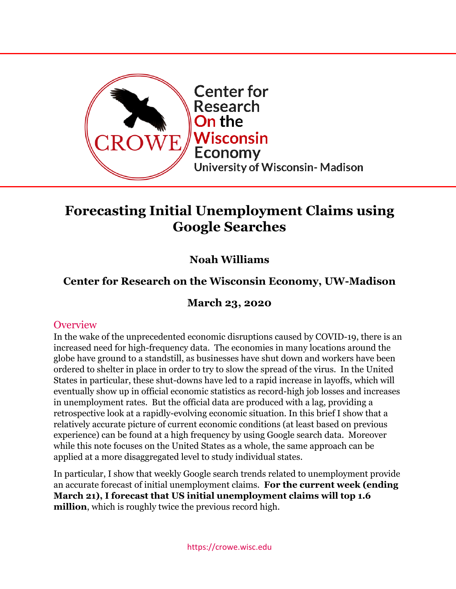

# **Forecasting Initial Unemployment Claims using Google Searches**

# **Noah Williams**

# **Center for Research on the Wisconsin Economy, UW-Madison**

## **March 23, 2020**

### **Overview**

In the wake of the unprecedented economic disruptions caused by COVID-19, there is an increased need for high-frequency data. The economies in many locations around the globe have ground to a standstill, as businesses have shut down and workers have been ordered to shelter in place in order to try to slow the spread of the virus. In the United States in particular, these shut-downs have led to a rapid increase in layoffs, which will eventually show up in official economic statistics as record-high job losses and increases in unemployment rates. But the official data are produced with a lag, providing a retrospective look at a rapidly-evolving economic situation. In this brief I show that a relatively accurate picture of current economic conditions (at least based on previous experience) can be found at a high frequency by using Google search data. Moreover while this note focuses on the United States as a whole, the same approach can be applied at a more disaggregated level to study individual states.

In particular, I show that weekly Google search trends related to unemployment provide an accurate forecast of initial unemployment claims. **For the current week (ending March 21), I forecast that US initial unemployment claims will top 1.6 million**, which is roughly twice the previous record high.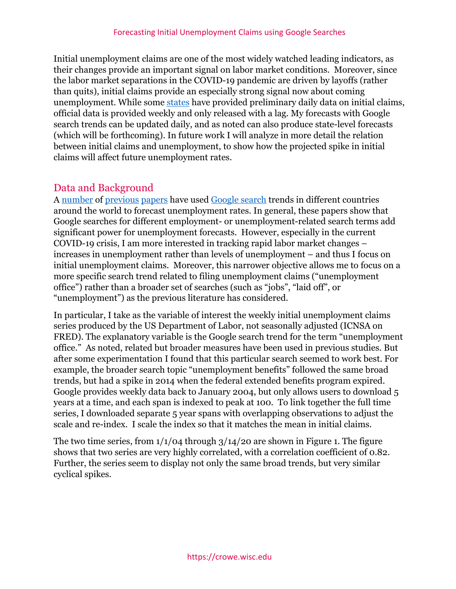Initial unemployment claims are one of the most widely watched leading indicators, as their changes provide an important signal on labor market conditions. Moreover, since the labor market separations in the COVID-19 pandemic are driven by layoffs (rather than quits), initial claims provide an especially strong signal now about coming unemployment. While some [states](https://dwd.wisconsin.gov/covid19/public/ui-stats.htm) have provided preliminary daily data on initial claims, official data is provided weekly and only released with a lag. My forecasts with Google search trends can be updated daily, and as noted can also produce state-level forecasts (which will be forthcoming). In future work I will analyze in more detail the relation between initial claims and unemployment, to show how the projected spike in initial claims will affect future unemployment rates.

## Data and Background

A [number](https://www.sciencedirect.com/science/article/abs/pii/S0169207017300389) of [previous](https://www.econstor.eu/bitstream/10419/162198/1/GLO_DP_0081.pdf) [papers](https://www.etla.fi/wp-content/uploads/ETLA-Working-Papers-35.pdf) have used [Google search](https://pdfs.semanticscholar.org/d7da/b2b171b8809b3fb78c6690cdc04819e9ba4a.pdf?_ga=2.101906689.149308392.1584887050-925581834.1582816311) trends in different countries around the world to forecast unemployment rates. In general, these papers show that Google searches for different employment- or unemployment-related search terms add significant power for unemployment forecasts. However, especially in the current COVID-19 crisis, I am more interested in tracking rapid labor market changes – increases in unemployment rather than levels of unemployment – and thus I focus on initial unemployment claims. Moreover, this narrower objective allows me to focus on a more specific search trend related to filing unemployment claims ("unemployment office") rather than a broader set of searches (such as "jobs", "laid off", or "unemployment") as the previous literature has considered.

In particular, I take as the variable of interest the weekly initial unemployment claims series produced by the US Department of Labor, not seasonally adjusted (ICNSA on FRED). The explanatory variable is the Google search trend for the term "unemployment office." As noted, related but broader measures have been used in previous studies. But after some experimentation I found that this particular search seemed to work best. For example, the broader search topic "unemployment benefits" followed the same broad trends, but had a spike in 2014 when the federal extended benefits program expired. Google provides weekly data back to January 2004, but only allows users to download 5 years at a time, and each span is indexed to peak at 100. To link together the full time series, I downloaded separate 5 year spans with overlapping observations to adjust the scale and re-index. I scale the index so that it matches the mean in initial claims.

The two time series, from  $1/1/04$  through  $3/14/20$  are shown in Figure 1. The figure shows that two series are very highly correlated, with a correlation coefficient of 0.82. Further, the series seem to display not only the same broad trends, but very similar cyclical spikes.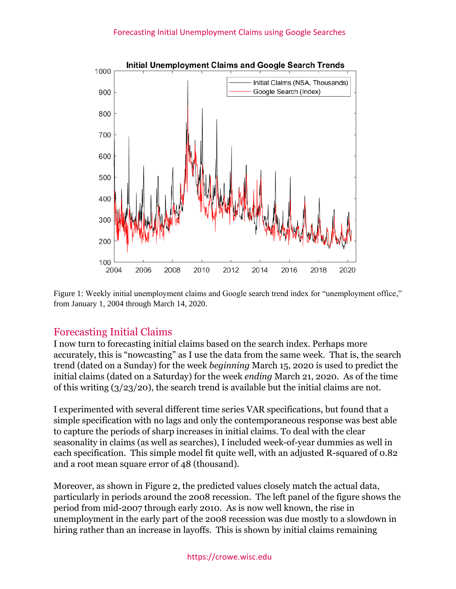

Figure 1: Weekly initial unemployment claims and Google search trend index for "unemployment office," from January 1, 2004 through March 14, 2020.

## Forecasting Initial Claims

I now turn to forecasting initial claims based on the search index. Perhaps more accurately, this is "nowcasting" as I use the data from the same week. That is, the search trend (dated on a Sunday) for the week *beginning* March 15, 2020 is used to predict the initial claims (dated on a Saturday) for the week *ending* March 21, 2020. As of the time of this writing (3/23/20), the search trend is available but the initial claims are not.

I experimented with several different time series VAR specifications, but found that a simple specification with no lags and only the contemporaneous response was best able to capture the periods of sharp increases in initial claims. To deal with the clear seasonality in claims (as well as searches), I included week-of-year dummies as well in each specification. This simple model fit quite well, with an adjusted R-squared of 0.82 and a root mean square error of 48 (thousand).

Moreover, as shown in Figure 2, the predicted values closely match the actual data, particularly in periods around the 2008 recession. The left panel of the figure shows the period from mid-2007 through early 2010. As is now well known, the rise in unemployment in the early part of the 2008 recession was due mostly to a slowdown in hiring rather than an increase in layoffs. This is shown by initial claims remaining

#### https://crowe.wisc.edu